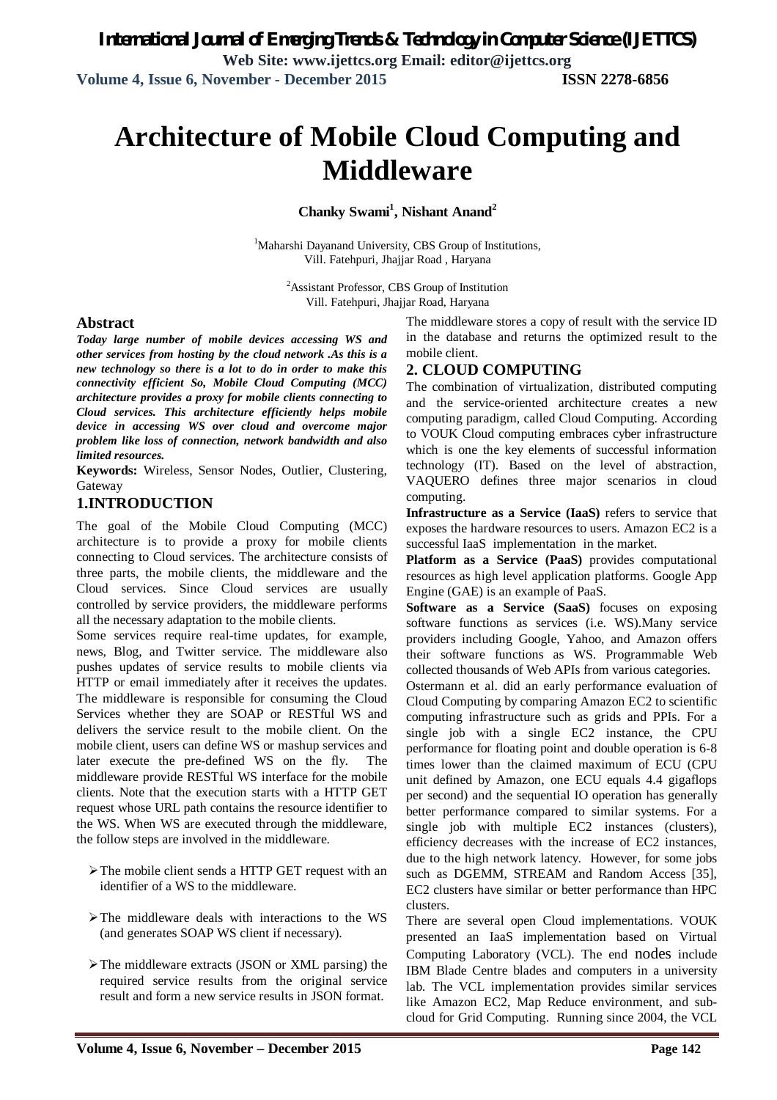# **Architecture of Mobile Cloud Computing and Middleware**

### **Chanky Swami<sup>1</sup> , Nishant Anand<sup>2</sup>**

<sup>1</sup>Maharshi Dayanand University, CBS Group of Institutions, Vill. Fatehpuri, Jhajjar Road , Haryana

> <sup>2</sup>Assistant Professor, CBS Group of Institution Vill. Fatehpuri, Jhajjar Road, Haryana

#### **Abstract**

*Today large number of mobile devices accessing WS and other services from hosting by the cloud network .As this is a new technology so there is a lot to do in order to make this connectivity efficient So, Mobile Cloud Computing (MCC) architecture provides a proxy for mobile clients connecting to Cloud services. This architecture efficiently helps mobile device in accessing WS over cloud and overcome major problem like loss of connection, network bandwidth and also limited resources.*

**Keywords:** Wireless, Sensor Nodes, Outlier, Clustering, Gateway

#### **1.INTRODUCTION**

The goal of the Mobile Cloud Computing (MCC) architecture is to provide a proxy for mobile clients connecting to Cloud services. The architecture consists of three parts, the mobile clients, the middleware and the Cloud services. Since Cloud services are usually controlled by service providers, the middleware performs all the necessary adaptation to the mobile clients.

Some services require real-time updates, for example, news, Blog, and Twitter service. The middleware also pushes updates of service results to mobile clients via HTTP or email immediately after it receives the updates. The middleware is responsible for consuming the Cloud Services whether they are SOAP or RESTful WS and delivers the service result to the mobile client. On the mobile client, users can define WS or mashup services and later execute the pre-defined WS on the fly. The middleware provide RESTful WS interface for the mobile clients. Note that the execution starts with a HTTP GET request whose URL path contains the resource identifier to the WS. When WS are executed through the middleware, the follow steps are involved in the middleware.

- $\triangleright$  The mobile client sends a HTTP GET request with an identifier of a WS to the middleware.
- $\triangleright$  The middleware deals with interactions to the WS (and generates SOAP WS client if necessary).
- $\triangleright$  The middleware extracts (JSON or XML parsing) the required service results from the original service result and form a new service results in JSON format.

The middleware stores a copy of result with the service ID in the database and returns the optimized result to the mobile client.

#### **2. CLOUD COMPUTING**

The combination of virtualization, distributed computing and the service-oriented architecture creates a new computing paradigm, called Cloud Computing. According to VOUK Cloud computing embraces cyber infrastructure which is one the key elements of successful information technology (IT). Based on the level of abstraction, VAQUERO defines three major scenarios in cloud computing.

**Infrastructure as a Service (IaaS)** refers to service that exposes the hardware resources to users. Amazon EC2 is a successful IaaS implementation in the market.

**Platform as a Service (PaaS)** provides computational resources as high level application platforms. Google App Engine (GAE) is an example of PaaS.

**Software as a Service (SaaS)** focuses on exposing software functions as services (i.e. WS).Many service providers including Google, Yahoo, and Amazon offers their software functions as WS. Programmable Web collected thousands of Web APIs from various categories.

Ostermann et al. did an early performance evaluation of Cloud Computing by comparing Amazon EC2 to scientific computing infrastructure such as grids and PPIs. For a single job with a single EC2 instance, the CPU performance for floating point and double operation is 6-8 times lower than the claimed maximum of ECU (CPU unit defined by Amazon, one ECU equals 4.4 gigaflops per second) and the sequential IO operation has generally better performance compared to similar systems. For a single job with multiple EC2 instances (clusters), efficiency decreases with the increase of EC2 instances, due to the high network latency. However, for some jobs such as DGEMM, STREAM and Random Access [35], EC2 clusters have similar or better performance than HPC clusters.

There are several open Cloud implementations. VOUK presented an IaaS implementation based on Virtual Computing Laboratory (VCL). The end nodes include IBM Blade Centre blades and computers in a university lab. The VCL implementation provides similar services like Amazon EC2, Map Reduce environment, and subcloud for Grid Computing. Running since 2004, the VCL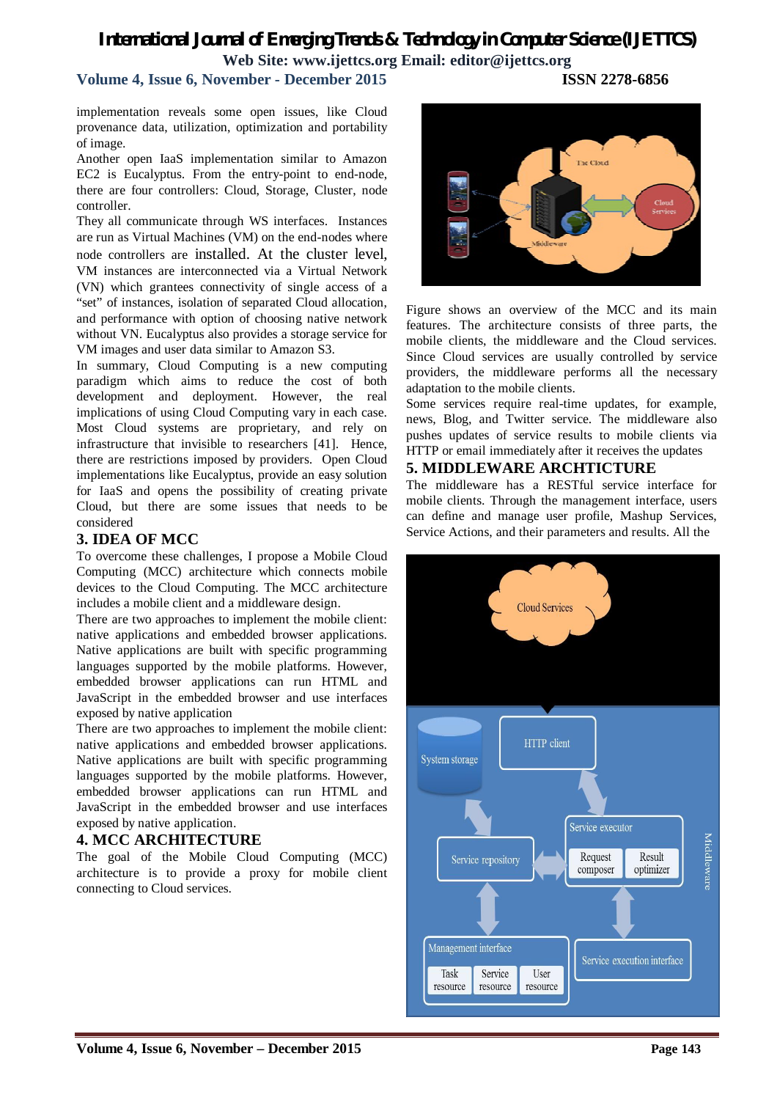## *International Journal of Emerging Trends & Technology in Computer Science (IJETTCS)* **Web Site: www.ijettcs.org Email: editor@ijettcs.org**

**Volume 4, Issue 6, November - December 2015 ISSN 2278-6856**

implementation reveals some open issues, like Cloud provenance data, utilization, optimization and portability of image.

Another open IaaS implementation similar to Amazon EC2 is Eucalyptus. From the entry-point to end-node, there are four controllers: Cloud, Storage, Cluster, node controller.

They all communicate through WS interfaces. Instances are run as Virtual Machines (VM) on the end-nodes where node controllers are installed. At the cluster level, VM instances are interconnected via a Virtual Network (VN) which grantees connectivity of single access of a "set" of instances, isolation of separated Cloud allocation, and performance with option of choosing native network without VN. Eucalyptus also provides a storage service for VM images and user data similar to Amazon S3.

In summary, Cloud Computing is a new computing paradigm which aims to reduce the cost of both development and deployment. However, the real implications of using Cloud Computing vary in each case. Most Cloud systems are proprietary, and rely on infrastructure that invisible to researchers [41]. Hence, there are restrictions imposed by providers. Open Cloud implementations like Eucalyptus, provide an easy solution for IaaS and opens the possibility of creating private Cloud, but there are some issues that needs to be considered

#### **3. IDEA OF MCC**

To overcome these challenges, I propose a Mobile Cloud Computing (MCC) architecture which connects mobile devices to the Cloud Computing. The MCC architecture includes a mobile client and a middleware design.

There are two approaches to implement the mobile client: native applications and embedded browser applications. Native applications are built with specific programming languages supported by the mobile platforms. However, embedded browser applications can run HTML and JavaScript in the embedded browser and use interfaces exposed by native application

There are two approaches to implement the mobile client: native applications and embedded browser applications. Native applications are built with specific programming languages supported by the mobile platforms. However, embedded browser applications can run HTML and JavaScript in the embedded browser and use interfaces exposed by native application.

#### **4. MCC ARCHITECTURE**

The goal of the Mobile Cloud Computing (MCC) architecture is to provide a proxy for mobile client connecting to Cloud services.



Figure shows an overview of the MCC and its main features. The architecture consists of three parts, the mobile clients, the middleware and the Cloud services. Since Cloud services are usually controlled by service providers, the middleware performs all the necessary adaptation to the mobile clients.

Some services require real-time updates, for example, news, Blog, and Twitter service. The middleware also pushes updates of service results to mobile clients via HTTP or email immediately after it receives the updates

#### **5. MIDDLEWARE ARCHTICTURE**

The middleware has a RESTful service interface for mobile clients. Through the management interface, users can define and manage user profile, Mashup Services, Service Actions, and their parameters and results. All the